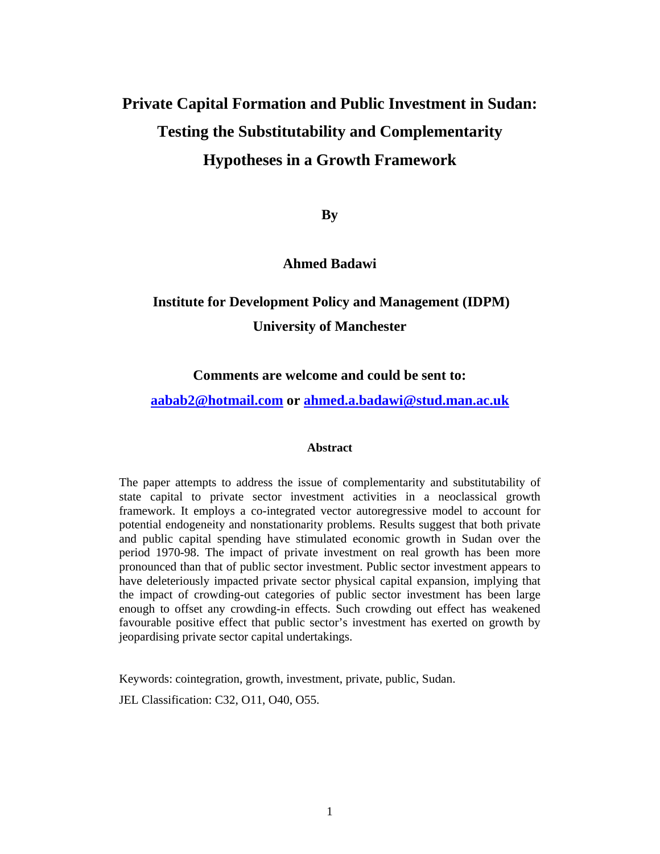# **Private Capital Formation and Public Investment in Sudan: Testing the Substitutability and Complementarity Hypotheses in a Growth Framework**

**By** 

#### **Ahmed Badawi**

## **Institute for Development Policy and Management (IDPM) University of Manchester**

#### **Comments are welcome and could be sent to:**

#### **aabab2@hotmail.com or ahmed.a.badawi@stud.man.ac.uk**

#### **Abstract**

The paper attempts to address the issue of complementarity and substitutability of state capital to private sector investment activities in a neoclassical growth framework. It employs a co-integrated vector autoregressive model to account for potential endogeneity and nonstationarity problems. Results suggest that both private and public capital spending have stimulated economic growth in Sudan over the period 1970-98. The impact of private investment on real growth has been more pronounced than that of public sector investment. Public sector investment appears to have deleteriously impacted private sector physical capital expansion, implying that the impact of crowding-out categories of public sector investment has been large enough to offset any crowding-in effects. Such crowding out effect has weakened favourable positive effect that public sector's investment has exerted on growth by jeopardising private sector capital undertakings.

Keywords: cointegration, growth, investment, private, public, Sudan.

JEL Classification: C32, O11, O40, O55.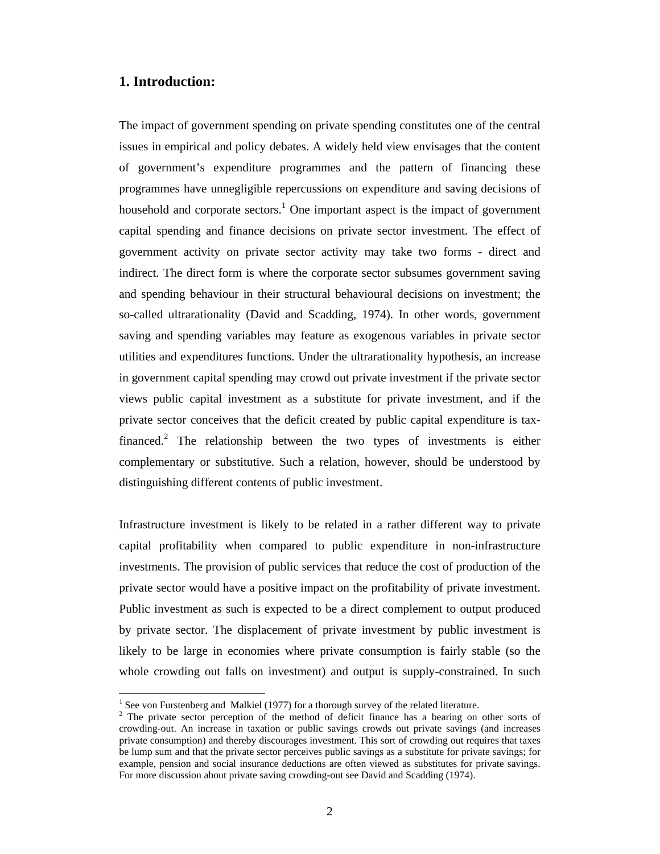#### **1. Introduction:**

 $\overline{a}$ 

The impact of government spending on private spending constitutes one of the central issues in empirical and policy debates. A widely held view envisages that the content of government's expenditure programmes and the pattern of financing these programmes have unnegligible repercussions on expenditure and saving decisions of household and corporate sectors.<sup>1</sup> One important aspect is the impact of government capital spending and finance decisions on private sector investment. The effect of government activity on private sector activity may take two forms - direct and indirect. The direct form is where the corporate sector subsumes government saving and spending behaviour in their structural behavioural decisions on investment; the so-called ultrarationality (David and Scadding, 1974). In other words, government saving and spending variables may feature as exogenous variables in private sector utilities and expenditures functions. Under the ultrarationality hypothesis, an increase in government capital spending may crowd out private investment if the private sector views public capital investment as a substitute for private investment, and if the private sector conceives that the deficit created by public capital expenditure is taxfinanced.<sup>2</sup> The relationship between the two types of investments is either complementary or substitutive. Such a relation, however, should be understood by distinguishing different contents of public investment.

Infrastructure investment is likely to be related in a rather different way to private capital profitability when compared to public expenditure in non-infrastructure investments. The provision of public services that reduce the cost of production of the private sector would have a positive impact on the profitability of private investment. Public investment as such is expected to be a direct complement to output produced by private sector. The displacement of private investment by public investment is likely to be large in economies where private consumption is fairly stable (so the whole crowding out falls on investment) and output is supply-constrained. In such

<sup>&</sup>lt;sup>1</sup> See von Furstenberg and Malkiel (1977) for a thorough survey of the related literature.

 $2$  The private sector perception of the method of deficit finance has a bearing on other sorts of crowding-out. An increase in taxation or public savings crowds out private savings (and increases private consumption) and thereby discourages investment. This sort of crowding out requires that taxes be lump sum and that the private sector perceives public savings as a substitute for private savings; for example, pension and social insurance deductions are often viewed as substitutes for private savings. For more discussion about private saving crowding-out see David and Scadding (1974).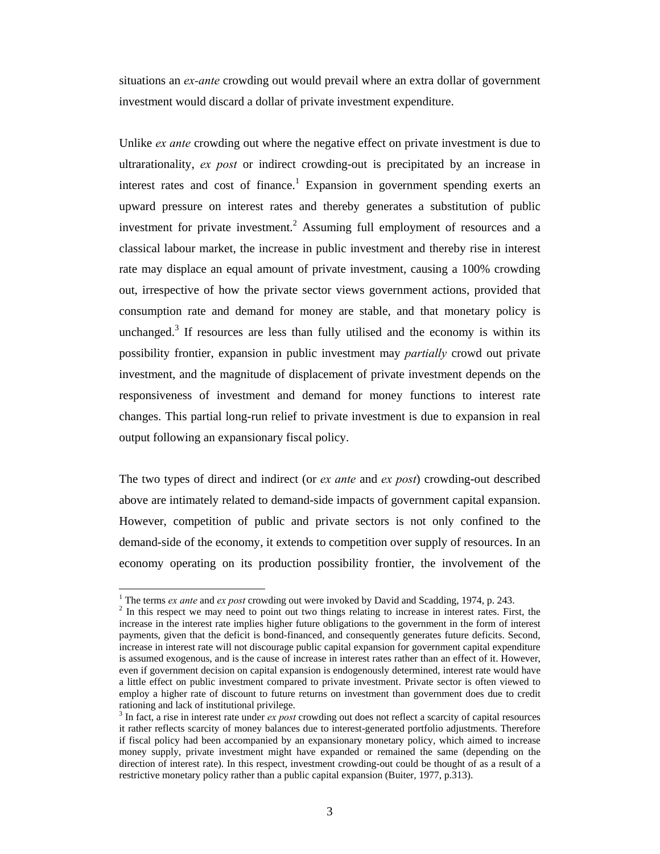situations an *ex-ante* crowding out would prevail where an extra dollar of government investment would discard a dollar of private investment expenditure.

Unlike *ex ante* crowding out where the negative effect on private investment is due to ultrarationality, *ex post* or indirect crowding-out is precipitated by an increase in interest rates and cost of finance.<sup>1</sup> Expansion in government spending exerts an upward pressure on interest rates and thereby generates a substitution of public investment for private investment.<sup>2</sup> Assuming full employment of resources and a classical labour market, the increase in public investment and thereby rise in interest rate may displace an equal amount of private investment, causing a 100% crowding out, irrespective of how the private sector views government actions, provided that consumption rate and demand for money are stable, and that monetary policy is unchanged.<sup>3</sup> If resources are less than fully utilised and the economy is within its possibility frontier, expansion in public investment may *partially* crowd out private investment, and the magnitude of displacement of private investment depends on the responsiveness of investment and demand for money functions to interest rate changes. This partial long-run relief to private investment is due to expansion in real output following an expansionary fiscal policy.

The two types of direct and indirect (or *ex ante* and *ex post*) crowding-out described above are intimately related to demand-side impacts of government capital expansion. However, competition of public and private sectors is not only confined to the demand-side of the economy, it extends to competition over supply of resources. In an economy operating on its production possibility frontier, the involvement of the

<sup>&</sup>lt;sup>1</sup> The terms *ex ante* and *ex post* crowding out were invoked by David and Scadding, 1974, p. 243.

 $2$  In this respect we may need to point out two things relating to increase in interest rates. First, the increase in the interest rate implies higher future obligations to the government in the form of interest payments, given that the deficit is bond-financed, and consequently generates future deficits. Second, increase in interest rate will not discourage public capital expansion for government capital expenditure is assumed exogenous, and is the cause of increase in interest rates rather than an effect of it. However, even if government decision on capital expansion is endogenously determined, interest rate would have a little effect on public investment compared to private investment. Private sector is often viewed to employ a higher rate of discount to future returns on investment than government does due to credit rationing and lack of institutional privilege.

<sup>&</sup>lt;sup>3</sup> In fact, a rise in interest rate under *ex post* crowding out does not reflect a scarcity of capital resources it rather reflects scarcity of money balances due to interest-generated portfolio adjustments. Therefore if fiscal policy had been accompanied by an expansionary monetary policy, which aimed to increase money supply, private investment might have expanded or remained the same (depending on the direction of interest rate). In this respect, investment crowding-out could be thought of as a result of a restrictive monetary policy rather than a public capital expansion (Buiter, 1977, p.313).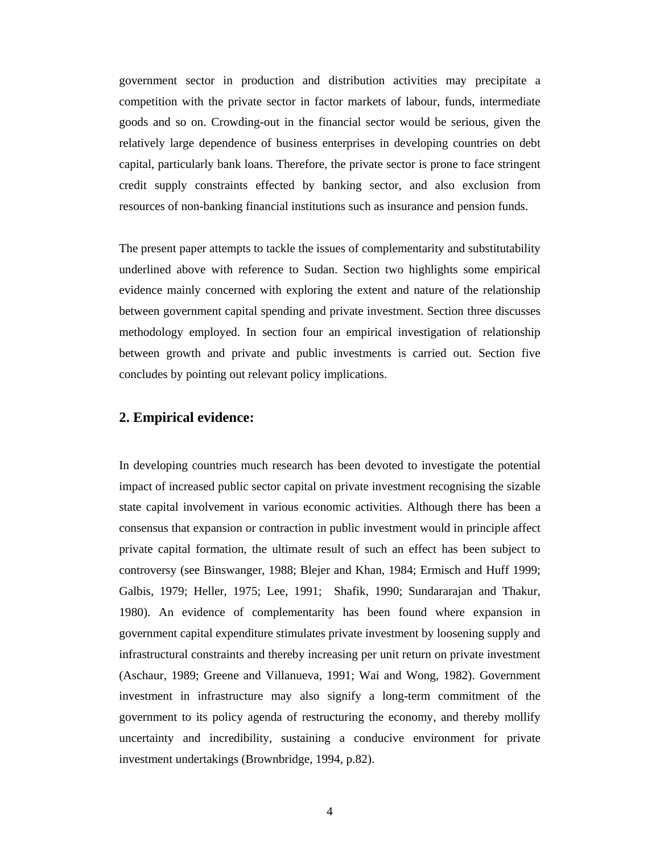government sector in production and distribution activities may precipitate a competition with the private sector in factor markets of labour, funds, intermediate goods and so on. Crowding-out in the financial sector would be serious, given the relatively large dependence of business enterprises in developing countries on debt capital, particularly bank loans. Therefore, the private sector is prone to face stringent credit supply constraints effected by banking sector, and also exclusion from resources of non-banking financial institutions such as insurance and pension funds.

The present paper attempts to tackle the issues of complementarity and substitutability underlined above with reference to Sudan. Section two highlights some empirical evidence mainly concerned with exploring the extent and nature of the relationship between government capital spending and private investment. Section three discusses methodology employed. In section four an empirical investigation of relationship between growth and private and public investments is carried out. Section five concludes by pointing out relevant policy implications.

#### **2. Empirical evidence:**

In developing countries much research has been devoted to investigate the potential impact of increased public sector capital on private investment recognising the sizable state capital involvement in various economic activities. Although there has been a consensus that expansion or contraction in public investment would in principle affect private capital formation, the ultimate result of such an effect has been subject to controversy (see Binswanger, 1988; Blejer and Khan, 1984; Ermisch and Huff 1999; Galbis, 1979; Heller, 1975; Lee, 1991; Shafik, 1990; Sundararajan and Thakur, 1980). An evidence of complementarity has been found where expansion in government capital expenditure stimulates private investment by loosening supply and infrastructural constraints and thereby increasing per unit return on private investment (Aschaur, 1989; Greene and Villanueva, 1991; Wai and Wong, 1982). Government investment in infrastructure may also signify a long-term commitment of the government to its policy agenda of restructuring the economy, and thereby mollify uncertainty and incredibility, sustaining a conducive environment for private investment undertakings (Brownbridge, 1994, p.82).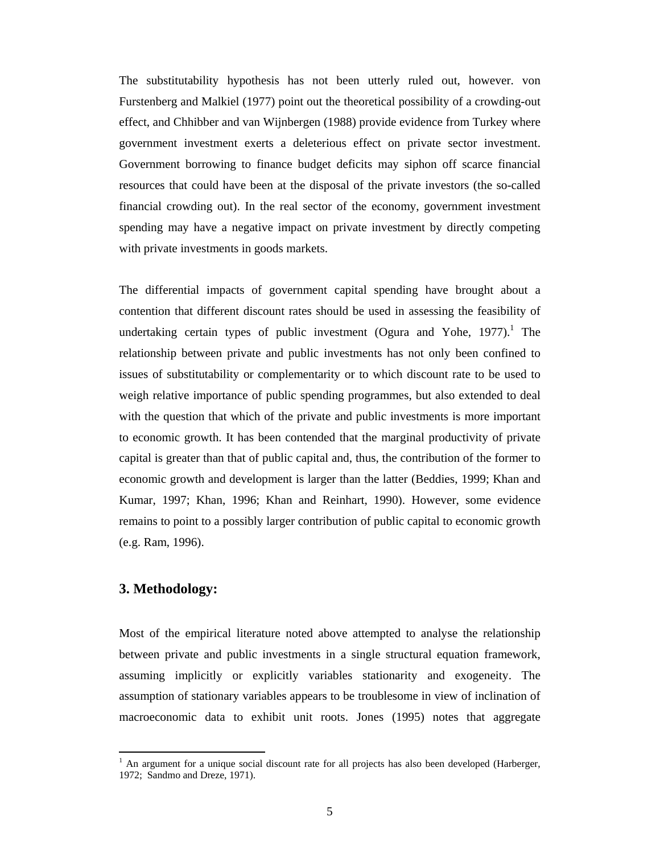The substitutability hypothesis has not been utterly ruled out, however. von Furstenberg and Malkiel (1977) point out the theoretical possibility of a crowding-out effect, and Chhibber and van Wijnbergen (1988) provide evidence from Turkey where government investment exerts a deleterious effect on private sector investment. Government borrowing to finance budget deficits may siphon off scarce financial resources that could have been at the disposal of the private investors (the so-called financial crowding out). In the real sector of the economy, government investment spending may have a negative impact on private investment by directly competing with private investments in goods markets.

The differential impacts of government capital spending have brought about a contention that different discount rates should be used in assessing the feasibility of undertaking certain types of public investment (Ogura and Yohe, 1977).<sup>1</sup> The relationship between private and public investments has not only been confined to issues of substitutability or complementarity or to which discount rate to be used to weigh relative importance of public spending programmes, but also extended to deal with the question that which of the private and public investments is more important to economic growth. It has been contended that the marginal productivity of private capital is greater than that of public capital and, thus, the contribution of the former to economic growth and development is larger than the latter (Beddies, 1999; Khan and Kumar, 1997; Khan, 1996; Khan and Reinhart, 1990). However, some evidence remains to point to a possibly larger contribution of public capital to economic growth (e.g. Ram, 1996).

#### **3. Methodology:**

 $\overline{a}$ 

Most of the empirical literature noted above attempted to analyse the relationship between private and public investments in a single structural equation framework, assuming implicitly or explicitly variables stationarity and exogeneity. The assumption of stationary variables appears to be troublesome in view of inclination of macroeconomic data to exhibit unit roots. Jones (1995) notes that aggregate

 $<sup>1</sup>$  An argument for a unique social discount rate for all projects has also been developed (Harberger,</sup> 1972; Sandmo and Dreze, 1971).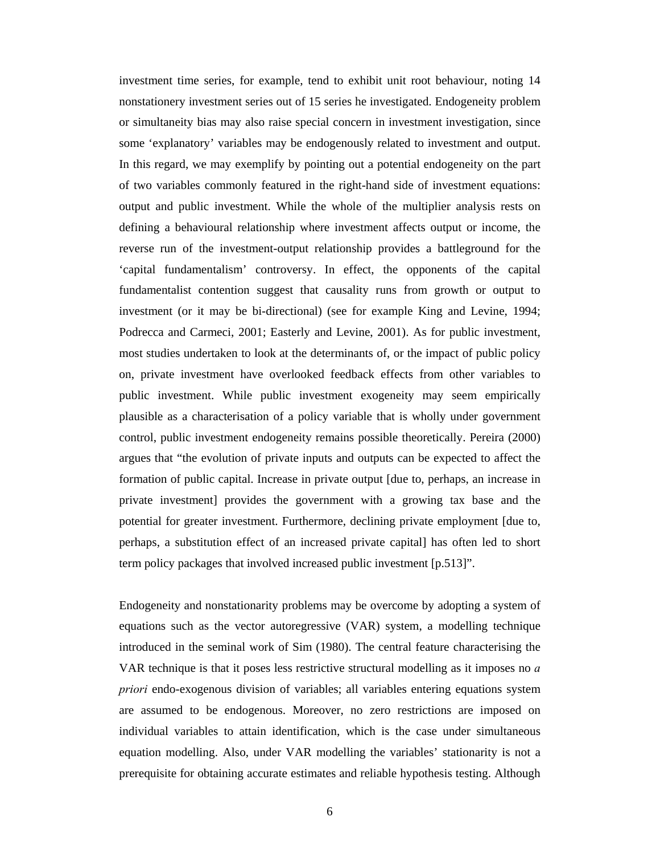investment time series, for example, tend to exhibit unit root behaviour, noting 14 nonstationery investment series out of 15 series he investigated. Endogeneity problem or simultaneity bias may also raise special concern in investment investigation, since some 'explanatory' variables may be endogenously related to investment and output. In this regard, we may exemplify by pointing out a potential endogeneity on the part of two variables commonly featured in the right-hand side of investment equations: output and public investment. While the whole of the multiplier analysis rests on defining a behavioural relationship where investment affects output or income, the reverse run of the investment-output relationship provides a battleground for the 'capital fundamentalism' controversy. In effect, the opponents of the capital fundamentalist contention suggest that causality runs from growth or output to investment (or it may be bi-directional) (see for example King and Levine, 1994; Podrecca and Carmeci, 2001; Easterly and Levine, 2001). As for public investment, most studies undertaken to look at the determinants of, or the impact of public policy on, private investment have overlooked feedback effects from other variables to public investment. While public investment exogeneity may seem empirically plausible as a characterisation of a policy variable that is wholly under government control, public investment endogeneity remains possible theoretically. Pereira (2000) argues that "the evolution of private inputs and outputs can be expected to affect the formation of public capital. Increase in private output [due to, perhaps, an increase in private investment] provides the government with a growing tax base and the potential for greater investment. Furthermore, declining private employment [due to, perhaps, a substitution effect of an increased private capital] has often led to short term policy packages that involved increased public investment [p.513]".

Endogeneity and nonstationarity problems may be overcome by adopting a system of equations such as the vector autoregressive (VAR) system, a modelling technique introduced in the seminal work of Sim (1980). The central feature characterising the VAR technique is that it poses less restrictive structural modelling as it imposes no *a priori* endo-exogenous division of variables; all variables entering equations system are assumed to be endogenous. Moreover, no zero restrictions are imposed on individual variables to attain identification, which is the case under simultaneous equation modelling. Also, under VAR modelling the variables' stationarity is not a prerequisite for obtaining accurate estimates and reliable hypothesis testing. Although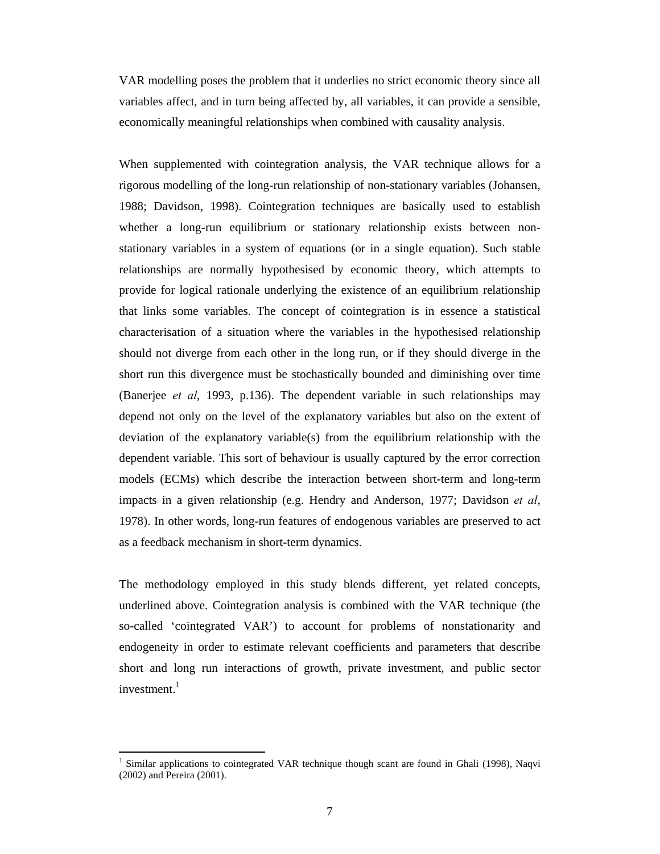VAR modelling poses the problem that it underlies no strict economic theory since all variables affect, and in turn being affected by, all variables, it can provide a sensible, economically meaningful relationships when combined with causality analysis.

When supplemented with cointegration analysis, the VAR technique allows for a rigorous modelling of the long-run relationship of non-stationary variables (Johansen, 1988; Davidson, 1998). Cointegration techniques are basically used to establish whether a long-run equilibrium or stationary relationship exists between nonstationary variables in a system of equations (or in a single equation). Such stable relationships are normally hypothesised by economic theory, which attempts to provide for logical rationale underlying the existence of an equilibrium relationship that links some variables. The concept of cointegration is in essence a statistical characterisation of a situation where the variables in the hypothesised relationship should not diverge from each other in the long run, or if they should diverge in the short run this divergence must be stochastically bounded and diminishing over time (Banerjee *et al*, 1993, p.136). The dependent variable in such relationships may depend not only on the level of the explanatory variables but also on the extent of deviation of the explanatory variable(s) from the equilibrium relationship with the dependent variable. This sort of behaviour is usually captured by the error correction models (ECMs) which describe the interaction between short-term and long-term impacts in a given relationship (e.g. Hendry and Anderson, 1977; Davidson *et al*, 1978). In other words, long-run features of endogenous variables are preserved to act as a feedback mechanism in short-term dynamics.

The methodology employed in this study blends different, yet related concepts, underlined above. Cointegration analysis is combined with the VAR technique (the so-called 'cointegrated VAR') to account for problems of nonstationarity and endogeneity in order to estimate relevant coefficients and parameters that describe short and long run interactions of growth, private investment, and public sector investment. $1$ 

<sup>&</sup>lt;sup>1</sup> Similar applications to cointegrated VAR technique though scant are found in Ghali (1998), Naqvi (2002) and Pereira (2001).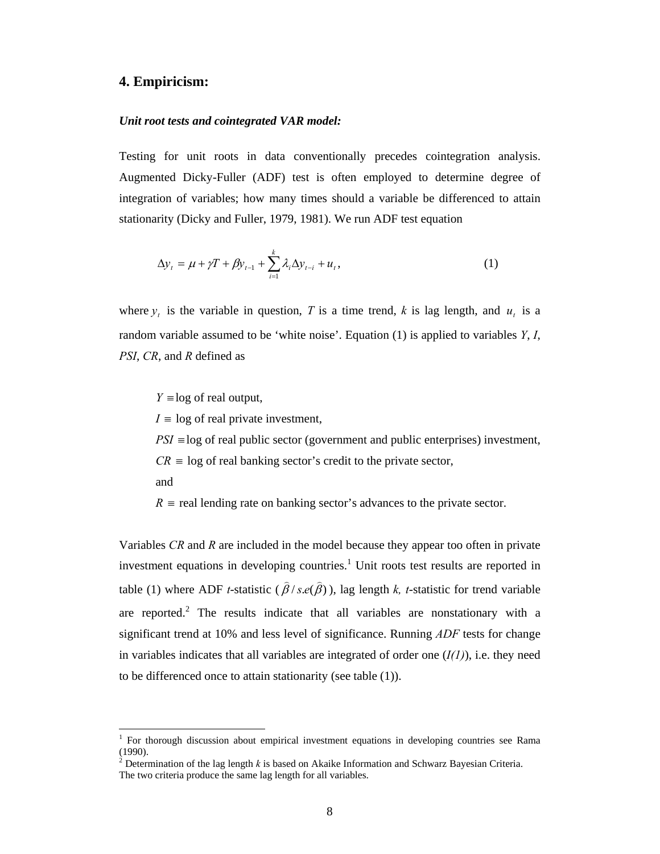#### **4. Empiricism:**

#### *Unit root tests and cointegrated VAR model:*

Testing for unit roots in data conventionally precedes cointegration analysis. Augmented Dicky-Fuller (ADF) test is often employed to determine degree of integration of variables; how many times should a variable be differenced to attain stationarity (Dicky and Fuller, 1979, 1981). We run ADF test equation

$$
\Delta y_{t} = \mu + \gamma T + \beta y_{t-1} + \sum_{i=1}^{k} \lambda_{i} \Delta y_{t-i} + u_{t},
$$
\n(1)

where  $y_t$  is the variable in question, *T* is a time trend, *k* is lag length, and  $u_t$  is a random variable assumed to be 'white noise'. Equation (1) is applied to variables *Y*, *I*, *PSI*, *CR*, and *R* defined as

 $Y \equiv \log$  of real output,

 $I \equiv \log \text{ of real private investment,}$ 

*PSI* ≡log of real public sector (government and public enterprises) investment,

 $CR \equiv \log$  of real banking sector's credit to the private sector,

and

 $\overline{a}$ 

 $R \equiv$  real lending rate on banking sector's advances to the private sector.

Variables *CR* and *R* are included in the model because they appear too often in private investment equations in developing countries.<sup>1</sup> Unit roots test results are reported in table (1) where ADF *t*-statistic ( $\hat{\beta}/s.e(\hat{\beta})$ ), lag length *k*, *t*-statistic for trend variable are reported.<sup>2</sup> The results indicate that all variables are nonstationary with a significant trend at 10% and less level of significance. Running *ADF* tests for change in variables indicates that all variables are integrated of order one  $(I(1))$ , i.e. they need to be differenced once to attain stationarity (see table (1)).

<sup>1</sup> For thorough discussion about empirical investment equations in developing countries see Rama (1990).

<sup>&</sup>lt;sup>2</sup> Determination of the lag length  $k$  is based on Akaike Information and Schwarz Bayesian Criteria. The two criteria produce the same lag length for all variables.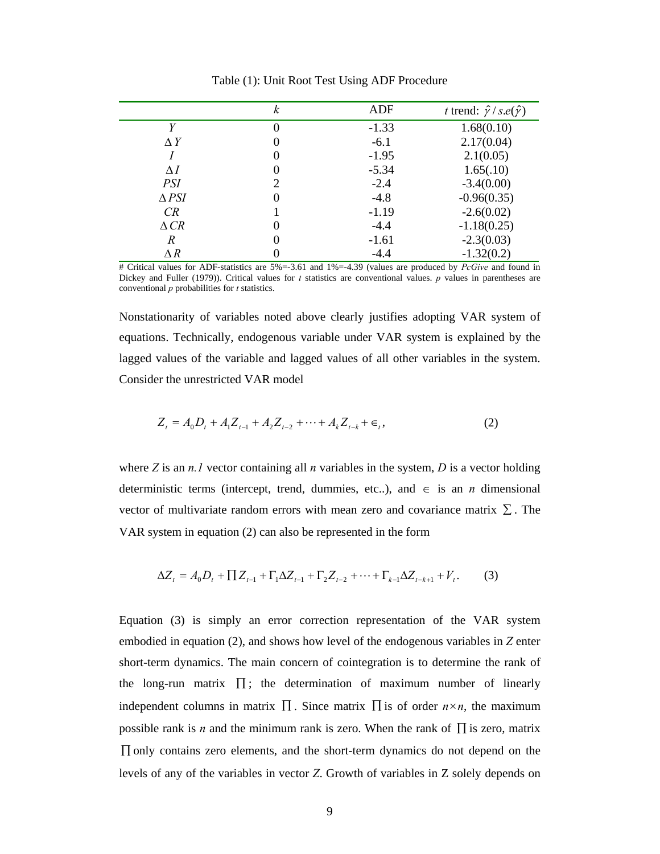|                 | k | ADF     | t trend: $\hat{\gamma}/s.e(\hat{\gamma})$ |
|-----------------|---|---------|-------------------------------------------|
| V               | 0 | $-1.33$ | 1.68(0.10)                                |
| $\Delta Y$      | O | $-6.1$  | 2.17(0.04)                                |
|                 | O | $-1.95$ | 2.1(0.05)                                 |
| $\Lambda I$     | O | $-5.34$ | 1.65(.10)                                 |
| PSI             | 2 | $-2.4$  | $-3.4(0.00)$                              |
| $\triangle$ PSI | 0 | $-4.8$  | $-0.96(0.35)$                             |
| CR              |   | $-1.19$ | $-2.6(0.02)$                              |
| $\triangle CR$  | O | $-4.4$  | $-1.18(0.25)$                             |
| R               | 0 | $-1.61$ | $-2.3(0.03)$                              |
| $\Delta R$      |   | $-4.4$  | $-1.32(0.2)$                              |

Table (1): Unit Root Test Using ADF Procedure

# Critical values for ADF-statistics are 5%=-3.61 and 1%=-4.39 (values are produced by *PcGive* and found in Dickey and Fuller (1979)). Critical values for *t* statistics are conventional values. *p* values in parentheses are conventional *p* probabilities for *t* statistics.

Nonstationarity of variables noted above clearly justifies adopting VAR system of equations. Technically, endogenous variable under VAR system is explained by the lagged values of the variable and lagged values of all other variables in the system. Consider the unrestricted VAR model

$$
Z_t = A_0 D_t + A_1 Z_{t-1} + A_2 Z_{t-2} + \dots + A_k Z_{t-k} + \epsilon_t,
$$
\n(2)

where *Z* is an *n.1* vector containing all *n* variables in the system, *D* is a vector holding deterministic terms (intercept, trend, dummies, etc..), and  $\in$  is an *n* dimensional vector of multivariate random errors with mean zero and covariance matrix  $\Sigma$ . The VAR system in equation (2) can also be represented in the form

$$
\Delta Z_t = A_0 D_t + \prod Z_{t-1} + \Gamma_1 \Delta Z_{t-1} + \Gamma_2 Z_{t-2} + \dots + \Gamma_{k-1} \Delta Z_{t-k+1} + V_t. \tag{3}
$$

Equation (3) is simply an error correction representation of the VAR system embodied in equation (2), and shows how level of the endogenous variables in *Z* enter short-term dynamics. The main concern of cointegration is to determine the rank of the long-run matrix  $\prod$ ; the determination of maximum number of linearly independent columns in matrix  $\Pi$ . Since matrix  $\Pi$  is of order  $n \times n$ , the maximum possible rank is *n* and the minimum rank is zero. When the rank of  $\Pi$  is zero, matrix ∏ only contains zero elements, and the short-term dynamics do not depend on the levels of any of the variables in vector *Z*. Growth of variables in Z solely depends on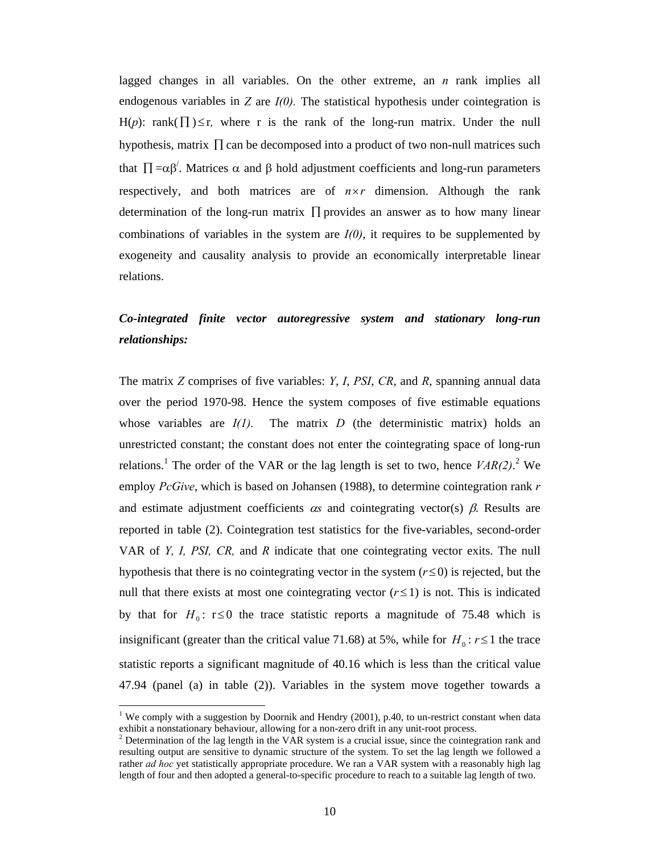lagged changes in all variables. On the other extreme, an *n* rank implies all endogenous variables in  $Z$  are  $I(0)$ . The statistical hypothesis under cointegration is H(p): rank( $\prod$ ) ≤ r, where r is the rank of the long-run matrix. Under the null hypothesis, matrix  $\prod$  can be decomposed into a product of two non-null matrices such that  $\Pi = \alpha \beta'$ . Matrices α and β hold adjustment coefficients and long-run parameters respectively, and both matrices are of  $n \times r$  dimension. Although the rank determination of the long-run matrix ∏ provides an answer as to how many linear combinations of variables in the system are  $I(0)$ , it requires to be supplemented by exogeneity and causality analysis to provide an economically interpretable linear relations.

### *Co-integrated finite vector autoregressive system and stationary long-run relationships:*

The matrix *Z* comprises of five variables: *Y*, *I*, *PSI*, *CR*, and *R*, spanning annual data over the period 1970-98. Hence the system composes of five estimable equations whose variables are  $I(1)$ . The matrix  $D$  (the deterministic matrix) holds an unrestricted constant; the constant does not enter the cointegrating space of long-run relations.<sup>1</sup> The order of the VAR or the lag length is set to two, hence  $VAR(2)$ .<sup>2</sup> We employ *PcGive*, which is based on Johansen (1988), to determine cointegration rank *r* and estimate adjustment coefficients  $\alpha s$  and cointegrating vector(s)  $\beta$ . Results are reported in table (2). Cointegration test statistics for the five-variables, second-order VAR of *Y, I, PSI, CR,* and *R* indicate that one cointegrating vector exits. The null hypothesis that there is no cointegrating vector in the system  $(r \le 0)$  is rejected, but the null that there exists at most one cointegrating vector  $(r \le 1)$  is not. This is indicated by that for  $H_0$ : r≤0 the trace statistic reports a magnitude of 75.48 which is insignificant (greater than the critical value 71.68) at 5%, while for  $H_0: r \le 1$  the trace statistic reports a significant magnitude of 40.16 which is less than the critical value 47.94 (panel (a) in table (2)). Variables in the system move together towards a

<sup>&</sup>lt;sup>1</sup> We comply with a suggestion by Doornik and Hendry (2001), p.40, to un-restrict constant when data exhibit a nonstationary behaviour, allowing for a non-zero drift in any unit-root process.

 $2$  Determination of the lag length in the VAR system is a crucial issue, since the cointegration rank and resulting output are sensitive to dynamic structure of the system. To set the lag length we followed a rather *ad hoc* yet statistically appropriate procedure. We ran a VAR system with a reasonably high lag length of four and then adopted a general-to-specific procedure to reach to a suitable lag length of two.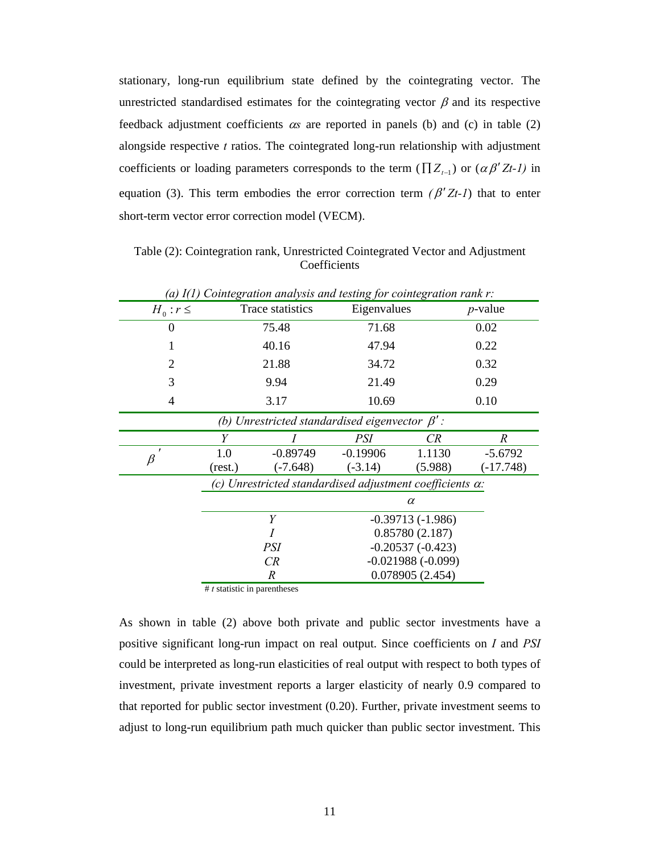stationary, long-run equilibrium state defined by the cointegrating vector. The unrestricted standardised estimates for the cointegrating vector  $\beta$  and its respective feedback adjustment coefficients α*s* are reported in panels (b) and (c) in table (2) alongside respective *t* ratios. The cointegrated long-run relationship with adjustment coefficients or loading parameters corresponds to the term ( $\prod Z_{t-1}$ ) or ( $\alpha \beta' Zt$ -*1*) in equation (3). This term embodies the error correction term  $(\beta' Zt-1)$  that to enter short-term vector error correction model (VECM).

| (a) $I(1)$ Cointegration analysis and testing for cointegration rank r: |                                                                  |                                     |                                                      |            |                  |
|-------------------------------------------------------------------------|------------------------------------------------------------------|-------------------------------------|------------------------------------------------------|------------|------------------|
| $H_0: r \leq$                                                           |                                                                  | Trace statistics<br>Eigenvalues     |                                                      | $p$ -value |                  |
| $\boldsymbol{0}$                                                        |                                                                  | 71.68<br>75.48                      |                                                      | 0.02       |                  |
| 1                                                                       |                                                                  | 40.16                               | 47.94                                                |            | 0.22             |
| 2                                                                       |                                                                  | 21.88                               | 34.72                                                |            | 0.32             |
| 3                                                                       |                                                                  | 9.94                                | 21.49                                                |            | 0.29             |
| 4                                                                       |                                                                  | 3.17                                | 10.69                                                |            | 0.10             |
|                                                                         |                                                                  |                                     | (b) Unrestricted standardised eigenvector $\beta'$ : |            |                  |
|                                                                         | Y                                                                |                                     | <i>PSI</i>                                           | CR         | $\boldsymbol{R}$ |
| $\mathbf{r}$<br>$\beta$                                                 | 1.0                                                              | $-0.89749$                          | $-0.19906$                                           | 1.1130     | $-5.6792$        |
|                                                                         | (rest.)                                                          | $(-7.648)$                          | $(-3.14)$                                            | (5.988)    | $(-17.748)$      |
|                                                                         | (c) Unrestricted standardised adjustment coefficients $\alpha$ : |                                     |                                                      |            |                  |
|                                                                         | $\alpha$                                                         |                                     |                                                      |            |                  |
|                                                                         | Y<br>$-0.39713(-1.986)$                                          |                                     |                                                      |            |                  |
|                                                                         | I                                                                |                                     | 0.85780(2.187)                                       |            |                  |
|                                                                         | PSI                                                              |                                     | $-0.20537(-0.423)$                                   |            |                  |
|                                                                         |                                                                  | CR                                  | $-0.021988(-0.099)$                                  |            |                  |
|                                                                         |                                                                  | 0.078905(2.454)<br>$\boldsymbol{R}$ |                                                      |            |                  |

Table (2): Cointegration rank, Unrestricted Cointegrated Vector and Adjustment **Coefficients** 

# *t* statistic in parentheses

As shown in table (2) above both private and public sector investments have a positive significant long-run impact on real output. Since coefficients on *I* and *PSI* could be interpreted as long-run elasticities of real output with respect to both types of investment, private investment reports a larger elasticity of nearly 0.9 compared to that reported for public sector investment (0.20). Further, private investment seems to adjust to long-run equilibrium path much quicker than public sector investment. This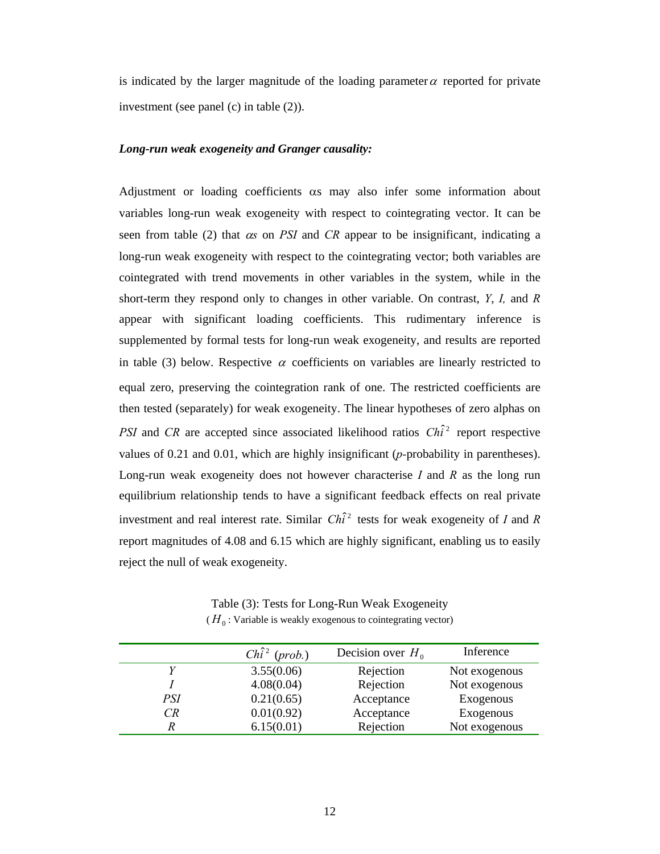is indicated by the larger magnitude of the loading parameter  $\alpha$  reported for private investment (see panel (c) in table (2)).

#### *Long-run weak exogeneity and Granger causality:*

Adjustment or loading coefficients αs may also infer some information about variables long-run weak exogeneity with respect to cointegrating vector. It can be seen from table (2) that α*s* on *PSI* and *CR* appear to be insignificant, indicating a long-run weak exogeneity with respect to the cointegrating vector; both variables are cointegrated with trend movements in other variables in the system, while in the short-term they respond only to changes in other variable. On contrast, *Y*, *I,* and *R* appear with significant loading coefficients. This rudimentary inference is supplemented by formal tests for long-run weak exogeneity, and results are reported in table (3) below. Respective  $\alpha$  coefficients on variables are linearly restricted to equal zero, preserving the cointegration rank of one. The restricted coefficients are then tested (separately) for weak exogeneity. The linear hypotheses of zero alphas on *PSI* and *CR* are accepted since associated likelihood ratios  $Ch<sup>2</sup>$  report respective values of 0.21 and 0.01, which are highly insignificant (*p-*probability in parentheses). Long-run weak exogeneity does not however characterise *I* and *R* as the long run equilibrium relationship tends to have a significant feedback effects on real private investment and real interest rate. Similar  $Ch\hat{i}^2$  tests for weak exogeneity of *I* and *R* report magnitudes of 4.08 and 6.15 which are highly significant, enabling us to easily reject the null of weak exogeneity.

Table (3): Tests for Long-Run Weak Exogeneity  $(H_0:$  Variable is weakly exogenous to cointegrating vector)

|     | $Chi^2$ (prob.) | Decision over $H_0$ | Inference     |
|-----|-----------------|---------------------|---------------|
|     | 3.55(0.06)      | Rejection           | Not exogenous |
|     | 4.08(0.04)      | Rejection           | Not exogenous |
| PSI | 0.21(0.65)      | Acceptance          | Exogenous     |
| CR  | 0.01(0.92)      | Acceptance          | Exogenous     |
|     | 6.15(0.01)      | Rejection           | Not exogenous |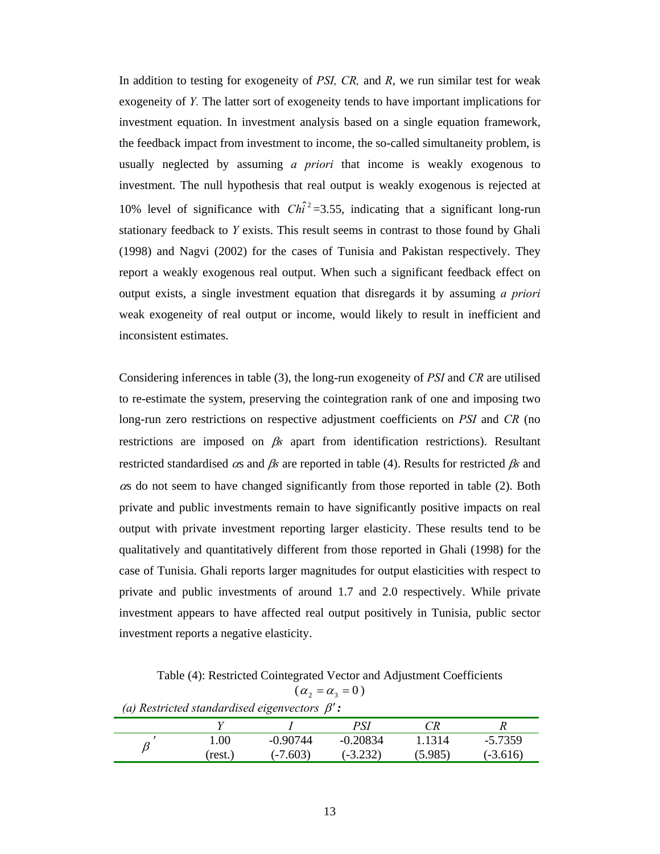In addition to testing for exogeneity of *PSI, CR,* and *R*, we run similar test for weak exogeneity of *Y.* The latter sort of exogeneity tends to have important implications for investment equation. In investment analysis based on a single equation framework, the feedback impact from investment to income, the so-called simultaneity problem, is usually neglected by assuming *a priori* that income is weakly exogenous to investment. The null hypothesis that real output is weakly exogenous is rejected at 10% level of significance with  $Ch\hat{i}^2 = 3.55$ , indicating that a significant long-run stationary feedback to *Y* exists. This result seems in contrast to those found by Ghali (1998) and Nagvi (2002) for the cases of Tunisia and Pakistan respectively. They report a weakly exogenous real output. When such a significant feedback effect on output exists, a single investment equation that disregards it by assuming *a priori* weak exogeneity of real output or income, would likely to result in inefficient and inconsistent estimates.

Considering inferences in table (3), the long-run exogeneity of *PSI* and *CR* are utilised to re-estimate the system, preserving the cointegration rank of one and imposing two long-run zero restrictions on respective adjustment coefficients on *PSI* and *CR* (no restrictions are imposed on β*s* apart from identification restrictions). Resultant restricted standardised αs and β*s* are reported in table (4). Results for restricted β*s* and <sup>α</sup>s do not seem to have changed significantly from those reported in table (2). Both private and public investments remain to have significantly positive impacts on real output with private investment reporting larger elasticity. These results tend to be qualitatively and quantitatively different from those reported in Ghali (1998) for the case of Tunisia. Ghali reports larger magnitudes for output elasticities with respect to private and public investments of around 1.7 and 2.0 respectively. While private investment appears to have affected real output positively in Tunisia, public sector investment reports a negative elasticity.

Table (4): Restricted Cointegrated Vector and Adjustment Coefficients

 $(\alpha_2 = \alpha_3 = 0)$ 

| (a) Restricted standardised eigenvectors $\beta$ : |  |
|----------------------------------------------------|--|
|----------------------------------------------------|--|

|         |            | PSI        |         |            |
|---------|------------|------------|---------|------------|
| 00.1    | $-0.90744$ | $-0.20834$ | 1.1314  | $-5.7359$  |
| (rest.) | $(-7.603)$ | $(-3.232)$ | (5.985) | $(-3.616)$ |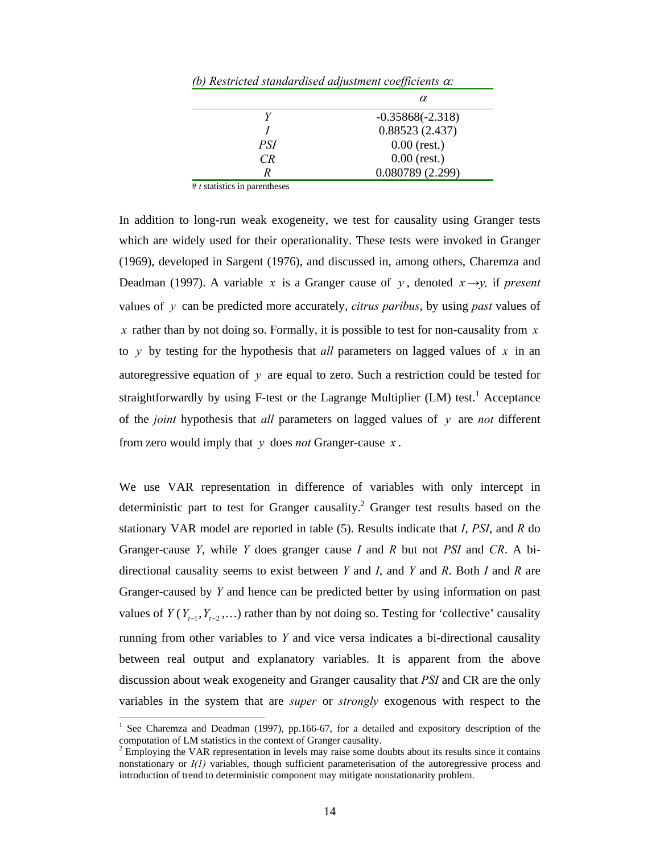| (b) Restricted standardised dafusiment coefficients a: |                    |  |  |
|--------------------------------------------------------|--------------------|--|--|
|                                                        | α                  |  |  |
|                                                        | $-0.35868(-2.318)$ |  |  |
|                                                        | 0.88523(2.437)     |  |  |
| PSI                                                    | $0.00$ (rest.)     |  |  |
| CR.                                                    | $0.00$ (rest.)     |  |  |
|                                                        | 0.080789(2.299)    |  |  |

*(b) Restricted standardised adjustment coefficients* α*:* 

# *t* statistics in parentheses

In addition to long-run weak exogeneity, we test for causality using Granger tests which are widely used for their operationality. These tests were invoked in Granger (1969), developed in Sargent (1976), and discussed in, among others, Charemza and Deadman (1997). A variable *x* is a Granger cause of *y*, denoted  $x \rightarrow y$ , if *present* values of *y* can be predicted more accurately, *citrus paribus*, by using *past* values of *x* rather than by not doing so. Formally, it is possible to test for non-causality from *x* to *y* by testing for the hypothesis that *all* parameters on lagged values of *x* in an autoregressive equation of *y* are equal to zero. Such a restriction could be tested for straightforwardly by using F-test or the Lagrange Multiplier (LM) test.<sup>1</sup> Acceptance of the *joint* hypothesis that *all* parameters on lagged values of *y* are *not* different from zero would imply that *y* does *not* Granger-cause *x* .

We use VAR representation in difference of variables with only intercept in deterministic part to test for Granger causality.<sup>2</sup> Granger test results based on the stationary VAR model are reported in table (5). Results indicate that *I*, *PSI*, and *R* do Granger-cause *Y*, while *Y* does granger cause *I* and *R* but not *PSI* and *CR*. A bidirectional causality seems to exist between *Y* and *I*, and *Y* and *R*. Both *I* and *R* are Granger-caused by *Y* and hence can be predicted better by using information on past values of  $Y(Y_{t-1}, Y_{t-2}, \ldots)$  rather than by not doing so. Testing for 'collective' causality running from other variables to *Y* and vice versa indicates a bi-directional causality between real output and explanatory variables. It is apparent from the above discussion about weak exogeneity and Granger causality that *PSI* and CR are the only variables in the system that are *super* or *strongly* exogenous with respect to the

<sup>&</sup>lt;sup>1</sup> See Charemza and Deadman (1997), pp.166-67, for a detailed and expository description of the computation of LM statistics in the context of Granger causality.<br> $2 \text{ Emplacing the VAB representation in levels may rise to zero d$ 

Employing the VAR representation in levels may raise some doubts about its results since it contains nonstationary or  $I(1)$  variables, though sufficient parameterisation of the autoregressive process and introduction of trend to deterministic component may mitigate nonstationarity problem.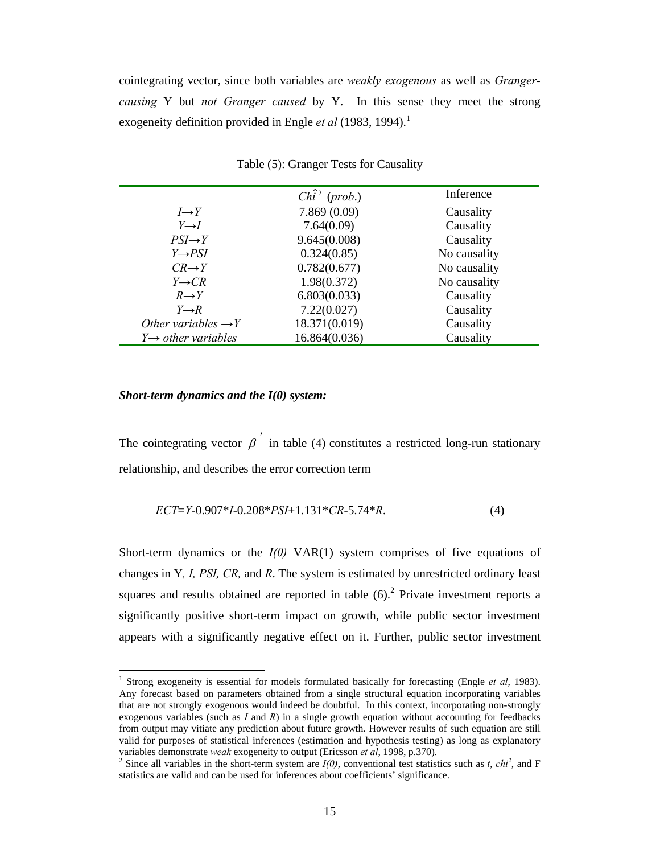cointegrating vector, since both variables are *weakly exogenous* as well as *Grangercausing* Y but *not Granger caused* by Y. In this sense they meet the strong exogeneity definition provided in Engle *et al* (1983, 1994).<sup>1</sup>

|                                 | Chi <sup>2</sup> (prob.) | Inference    |
|---------------------------------|--------------------------|--------------|
| $I\rightarrow Y$                | 7.869(0.09)              | Causality    |
| $Y \rightarrow I$               | 7.64(0.09)               | Causality    |
| $PSI \rightarrow Y$             | 9.645(0.008)             | Causality    |
| $Y \rightarrow PSI$             | 0.324(0.85)              | No causality |
| $CR \rightarrow Y$              | 0.782(0.677)             | No causality |
| $Y \rightarrow CR$              | 1.98(0.372)              | No causality |
| $R \rightarrow Y$               | 6.803(0.033)             | Causality    |
| $Y \rightarrow R$               | 7.22(0.027)              | Causality    |
| Other variables $\rightarrow Y$ | 18.371(0.019)            | Causality    |
| $Y \rightarrow$ other variables | 16.864(0.036)            | Causality    |

Table (5): Granger Tests for Causality

#### *Short-term dynamics and the I(0) system:*

The cointegrating vector  $\beta$  in table (4) constitutes a restricted long-run stationary relationship, and describes the error correction term

$$
ECT=Y-0.907*I-0.208*PSI+1.131*CR-5.74*R.
$$
 (4)

Short-term dynamics or the *I(0)* VAR(1) system comprises of five equations of changes in Y*, I, PSI, CR,* and *R*. The system is estimated by unrestricted ordinary least squares and results obtained are reported in table  $(6)$ .<sup>2</sup> Private investment reports a significantly positive short-term impact on growth, while public sector investment appears with a significantly negative effect on it. Further, public sector investment

<sup>1</sup> Strong exogeneity is essential for models formulated basically for forecasting (Engle *et al*, 1983). Any forecast based on parameters obtained from a single structural equation incorporating variables that are not strongly exogenous would indeed be doubtful. In this context, incorporating non-strongly exogenous variables (such as *I* and *R*) in a single growth equation without accounting for feedbacks from output may vitiate any prediction about future growth. However results of such equation are still valid for purposes of statistical inferences (estimation and hypothesis testing) as long as explanatory variables demonstrate *weak* exogeneity to output (Ericsson *et al*, 1998, p.370). 2

Since all variables in the short-term system are  $I(0)$ , conventional test statistics such as *t*, *chi*<sup>2</sup>, and F statistics are valid and can be used for inferences about coefficients' significance.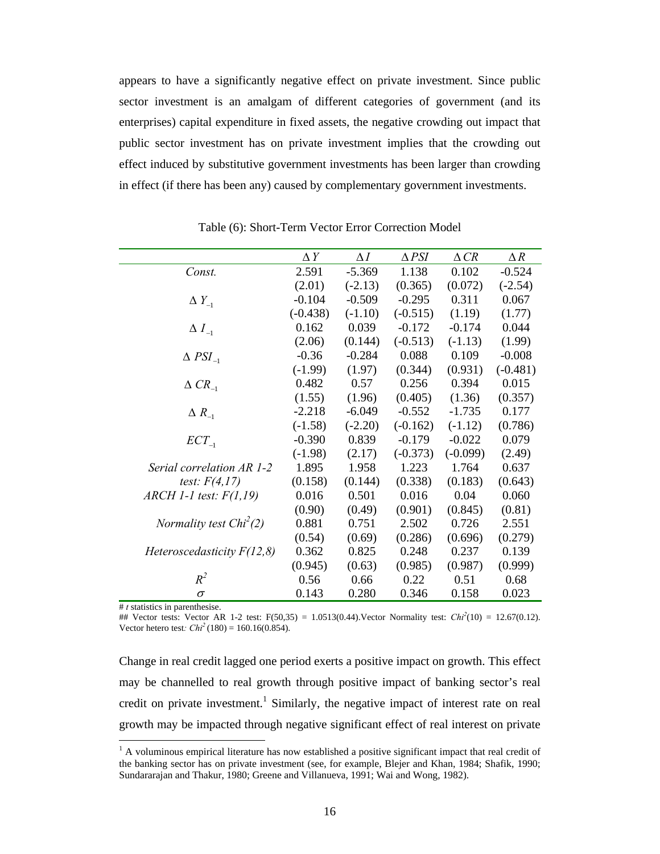appears to have a significantly negative effect on private investment. Since public sector investment is an amalgam of different categories of government (and its enterprises) capital expenditure in fixed assets, the negative crowding out impact that public sector investment has on private investment implies that the crowding out effect induced by substitutive government investments has been larger than crowding in effect (if there has been any) caused by complementary government investments.

|                               | $\Delta Y$ | $\Delta I$ | $\triangle$ PSI | $\triangle CR$ | $\Delta R$ |
|-------------------------------|------------|------------|-----------------|----------------|------------|
| Const.                        | 2.591      | $-5.369$   | 1.138           | 0.102          | $-0.524$   |
|                               | (2.01)     | $(-2.13)$  | (0.365)         | (0.072)        | $(-2.54)$  |
| $\Delta Y_{-1}$               | $-0.104$   | $-0.509$   | $-0.295$        | 0.311          | 0.067      |
|                               | $(-0.438)$ | $(-1.10)$  | $(-0.515)$      | (1.19)         | (1.77)     |
| $\Delta$ $I_{-1}$             | 0.162      | 0.039      | $-0.172$        | $-0.174$       | 0.044      |
|                               | (2.06)     | (0.144)    | $(-0.513)$      | $(-1.13)$      | (1.99)     |
| $\triangle$ PSI <sub>_1</sub> | $-0.36$    | $-0.284$   | 0.088           | 0.109          | $-0.008$   |
|                               | $(-1.99)$  | (1.97)     | (0.344)         | (0.931)        | $(-0.481)$ |
| $\triangle CR_{-1}$           | 0.482      | 0.57       | 0.256           | 0.394          | 0.015      |
|                               | (1.55)     | (1.96)     | (0.405)         | (1.36)         | (0.357)    |
| $\Delta R_{-1}$               | $-2.218$   | $-6.049$   | $-0.552$        | $-1.735$       | 0.177      |
|                               | $(-1.58)$  | $(-2.20)$  | $(-0.162)$      | $(-1.12)$      | (0.786)    |
| $ECT_{-1}$                    | $-0.390$   | 0.839      | $-0.179$        | $-0.022$       | 0.079      |
|                               | $(-1.98)$  | (2.17)     | $(-0.373)$      | $(-0.099)$     | (2.49)     |
| Serial correlation AR 1-2     | 1.895      | 1.958      | 1.223           | 1.764          | 0.637      |
| test: $F(4,17)$               | (0.158)    | (0.144)    | (0.338)         | (0.183)        | (0.643)    |
| $ARCH$ 1-1 test: $F(1,19)$    | 0.016      | 0.501      | 0.016           | 0.04           | 0.060      |
|                               | (0.90)     | (0.49)     | (0.901)         | (0.845)        | (0.81)     |
| Normality test $Chi^2(2)$     | 0.881      | 0.751      | 2.502           | 0.726          | 2.551      |
|                               | (0.54)     | (0.69)     | (0.286)         | (0.696)        | (0.279)    |
| Heteroscedasticity $F(12,8)$  | 0.362      | 0.825      | 0.248           | 0.237          | 0.139      |
|                               | (0.945)    | (0.63)     | (0.985)         | (0.987)        | (0.999)    |
| $R^2$                         | 0.56       | 0.66       | 0.22            | 0.51           | 0.68       |
| $\sigma$                      | 0.143      | 0.280      | 0.346           | 0.158          | 0.023      |

Table (6): Short-Term Vector Error Correction Model

# *t* statistics in parenthesise.

## Vector tests: Vector AR 1-2 test:  $F(50,35) = 1.0513(0.44)$ . Vector Normality test:  $Chi^2(10) = 12.67(0.12)$ . Vector hetero test:  $Chi^2(180) = 160.16(0.854)$ .

Change in real credit lagged one period exerts a positive impact on growth. This effect may be channelled to real growth through positive impact of banking sector's real credit on private investment.<sup>1</sup> Similarly, the negative impact of interest rate on real growth may be impacted through negative significant effect of real interest on private

<sup>&</sup>lt;sup>1</sup> A voluminous empirical literature has now established a positive significant impact that real credit of the banking sector has on private investment (see, for example, Blejer and Khan, 1984; Shafik, 1990; Sundararajan and Thakur, 1980; Greene and Villanueva, 1991; Wai and Wong, 1982).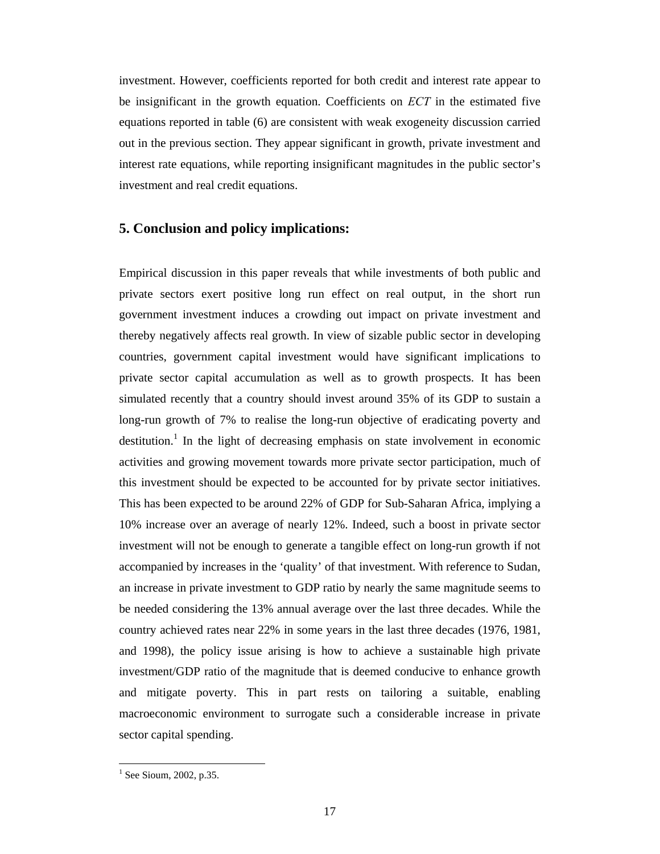investment. However, coefficients reported for both credit and interest rate appear to be insignificant in the growth equation. Coefficients on *ECT* in the estimated five equations reported in table (6) are consistent with weak exogeneity discussion carried out in the previous section. They appear significant in growth, private investment and interest rate equations, while reporting insignificant magnitudes in the public sector's investment and real credit equations.

#### **5. Conclusion and policy implications:**

Empirical discussion in this paper reveals that while investments of both public and private sectors exert positive long run effect on real output, in the short run government investment induces a crowding out impact on private investment and thereby negatively affects real growth. In view of sizable public sector in developing countries, government capital investment would have significant implications to private sector capital accumulation as well as to growth prospects. It has been simulated recently that a country should invest around 35% of its GDP to sustain a long-run growth of 7% to realise the long-run objective of eradicating poverty and destitution.<sup>1</sup> In the light of decreasing emphasis on state involvement in economic activities and growing movement towards more private sector participation, much of this investment should be expected to be accounted for by private sector initiatives. This has been expected to be around 22% of GDP for Sub-Saharan Africa, implying a 10% increase over an average of nearly 12%. Indeed, such a boost in private sector investment will not be enough to generate a tangible effect on long-run growth if not accompanied by increases in the 'quality' of that investment. With reference to Sudan, an increase in private investment to GDP ratio by nearly the same magnitude seems to be needed considering the 13% annual average over the last three decades. While the country achieved rates near 22% in some years in the last three decades (1976, 1981, and 1998), the policy issue arising is how to achieve a sustainable high private investment/GDP ratio of the magnitude that is deemed conducive to enhance growth and mitigate poverty. This in part rests on tailoring a suitable, enabling macroeconomic environment to surrogate such a considerable increase in private sector capital spending.

 $1$  See Sioum, 2002, p.35.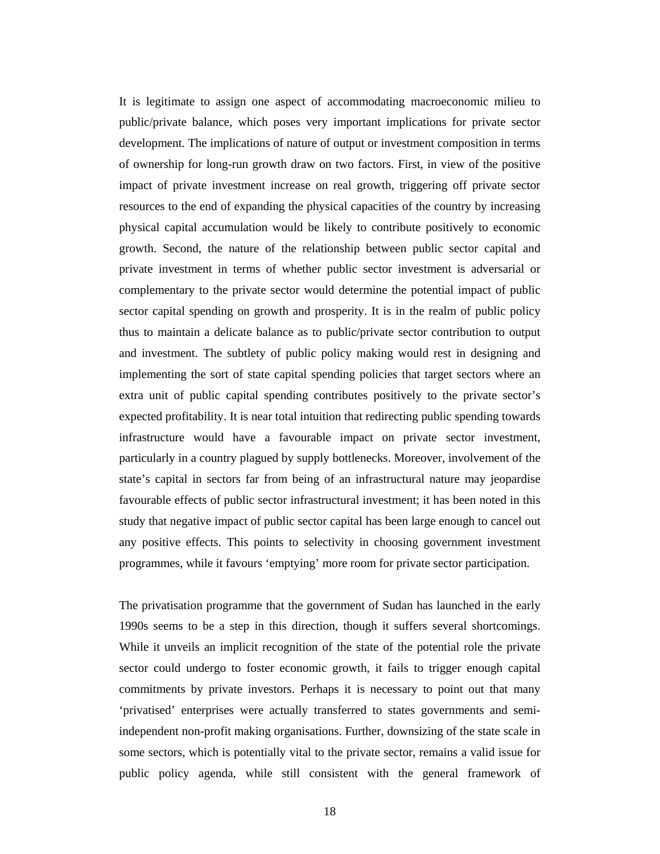It is legitimate to assign one aspect of accommodating macroeconomic milieu to public/private balance, which poses very important implications for private sector development. The implications of nature of output or investment composition in terms of ownership for long-run growth draw on two factors. First, in view of the positive impact of private investment increase on real growth, triggering off private sector resources to the end of expanding the physical capacities of the country by increasing physical capital accumulation would be likely to contribute positively to economic growth. Second, the nature of the relationship between public sector capital and private investment in terms of whether public sector investment is adversarial or complementary to the private sector would determine the potential impact of public sector capital spending on growth and prosperity. It is in the realm of public policy thus to maintain a delicate balance as to public/private sector contribution to output and investment. The subtlety of public policy making would rest in designing and implementing the sort of state capital spending policies that target sectors where an extra unit of public capital spending contributes positively to the private sector's expected profitability. It is near total intuition that redirecting public spending towards infrastructure would have a favourable impact on private sector investment, particularly in a country plagued by supply bottlenecks. Moreover, involvement of the state's capital in sectors far from being of an infrastructural nature may jeopardise favourable effects of public sector infrastructural investment; it has been noted in this study that negative impact of public sector capital has been large enough to cancel out any positive effects. This points to selectivity in choosing government investment programmes, while it favours 'emptying' more room for private sector participation.

The privatisation programme that the government of Sudan has launched in the early 1990s seems to be a step in this direction, though it suffers several shortcomings. While it unveils an implicit recognition of the state of the potential role the private sector could undergo to foster economic growth, it fails to trigger enough capital commitments by private investors. Perhaps it is necessary to point out that many 'privatised' enterprises were actually transferred to states governments and semiindependent non-profit making organisations. Further, downsizing of the state scale in some sectors, which is potentially vital to the private sector, remains a valid issue for public policy agenda, while still consistent with the general framework of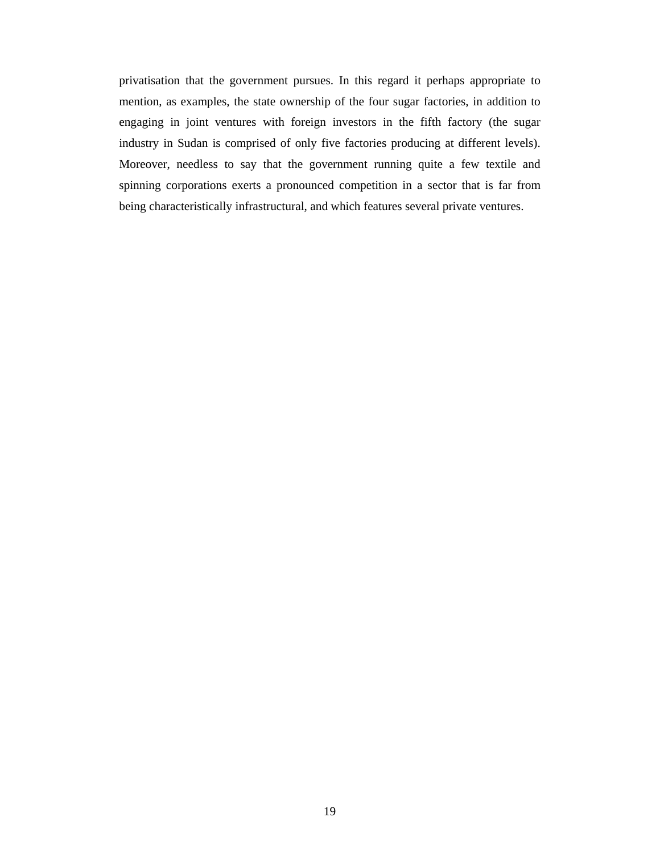privatisation that the government pursues. In this regard it perhaps appropriate to mention, as examples, the state ownership of the four sugar factories, in addition to engaging in joint ventures with foreign investors in the fifth factory (the sugar industry in Sudan is comprised of only five factories producing at different levels). Moreover, needless to say that the government running quite a few textile and spinning corporations exerts a pronounced competition in a sector that is far from being characteristically infrastructural, and which features several private ventures.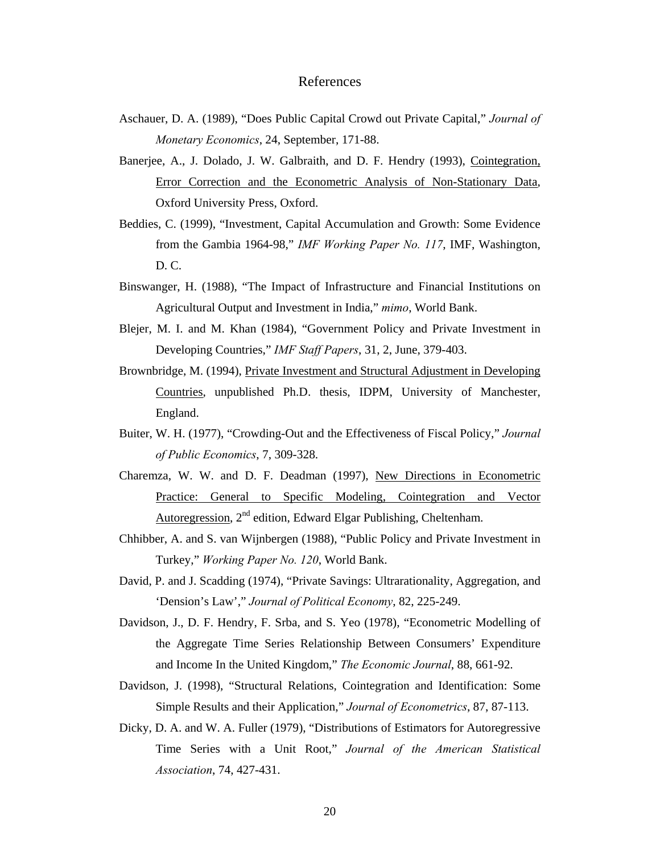#### References

- Aschauer, D. A. (1989), "Does Public Capital Crowd out Private Capital," *Journal of Monetary Economics*, 24, September, 171-88.
- Banerjee, A., J. Dolado, J. W. Galbraith, and D. F. Hendry (1993), Cointegration, Error Correction and the Econometric Analysis of Non-Stationary Data, Oxford University Press, Oxford.
- Beddies, C. (1999), "Investment, Capital Accumulation and Growth: Some Evidence from the Gambia 1964-98," *IMF Working Paper No. 117*, IMF, Washington, D. C.
- Binswanger, H. (1988), "The Impact of Infrastructure and Financial Institutions on Agricultural Output and Investment in India," *mimo*, World Bank.
- Blejer, M. I. and M. Khan (1984), "Government Policy and Private Investment in Developing Countries," *IMF Staff Papers*, 31, 2, June, 379-403.
- Brownbridge, M. (1994), Private Investment and Structural Adjustment in Developing Countries, unpublished Ph.D. thesis, IDPM, University of Manchester, England.
- Buiter, W. H. (1977), "Crowding-Out and the Effectiveness of Fiscal Policy," *Journal of Public Economics*, 7, 309-328.
- Charemza, W. W. and D. F. Deadman (1997), New Directions in Econometric Practice: General to Specific Modeling, Cointegration and Vector Autoregression,  $2<sup>nd</sup>$  edition, Edward Elgar Publishing, Cheltenham.
- Chhibber, A. and S. van Wijnbergen (1988), "Public Policy and Private Investment in Turkey," *Working Paper No. 120*, World Bank.
- David, P. and J. Scadding (1974), "Private Savings: Ultrarationality, Aggregation, and 'Dension's Law'," *Journal of Political Economy*, 82, 225-249.
- Davidson, J., D. F. Hendry, F. Srba, and S. Yeo (1978), "Econometric Modelling of the Aggregate Time Series Relationship Between Consumers' Expenditure and Income In the United Kingdom," *The Economic Journal*, 88, 661-92.
- Davidson, J. (1998), "Structural Relations, Cointegration and Identification: Some Simple Results and their Application," *Journal of Econometrics*, 87, 87-113.
- Dicky, D. A. and W. A. Fuller (1979), "Distributions of Estimators for Autoregressive Time Series with a Unit Root," *Journal of the American Statistical Association*, 74, 427-431.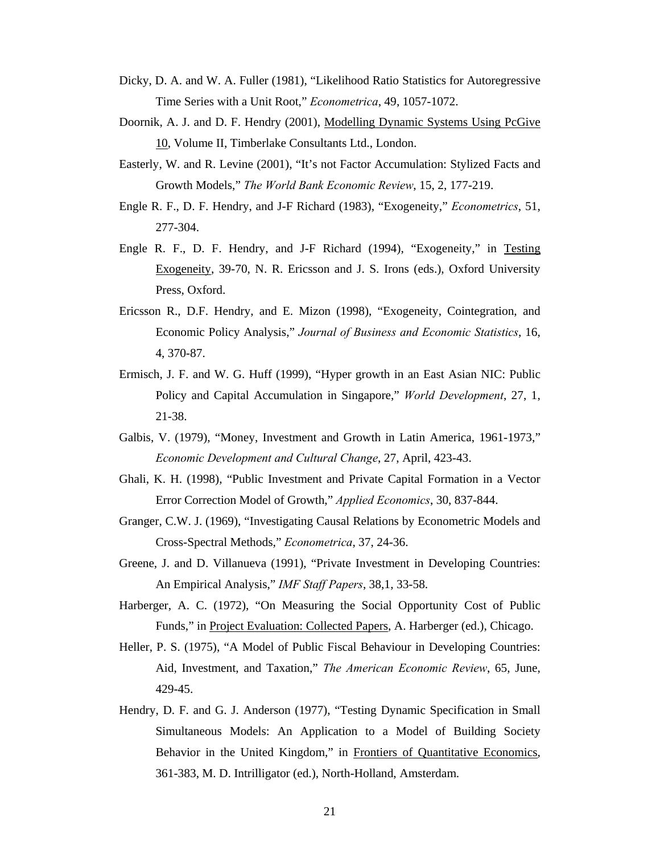- Dicky, D. A. and W. A. Fuller (1981), "Likelihood Ratio Statistics for Autoregressive Time Series with a Unit Root," *Econometrica*, 49, 1057-1072.
- Doornik, A. J. and D. F. Hendry (2001), Modelling Dynamic Systems Using PcGive 10, Volume II, Timberlake Consultants Ltd., London.
- Easterly, W. and R. Levine (2001), "It's not Factor Accumulation: Stylized Facts and Growth Models," *The World Bank Economic Review*, 15, 2, 177-219.
- Engle R. F., D. F. Hendry, and J-F Richard (1983), "Exogeneity," *Econometrics*, 51, 277-304.
- Engle R. F., D. F. Hendry, and J-F Richard (1994), "Exogeneity," in Testing Exogeneity, 39-70, N. R. Ericsson and J. S. Irons (eds.), Oxford University Press, Oxford.
- Ericsson R., D.F. Hendry, and E. Mizon (1998), "Exogeneity, Cointegration, and Economic Policy Analysis," *Journal of Business and Economic Statistics*, 16, 4, 370-87.
- Ermisch, J. F. and W. G. Huff (1999), "Hyper growth in an East Asian NIC: Public Policy and Capital Accumulation in Singapore," *World Development*, 27, 1, 21-38.
- Galbis, V. (1979), "Money, Investment and Growth in Latin America, 1961-1973," *Economic Development and Cultural Change*, 27, April, 423-43.
- Ghali, K. H. (1998), "Public Investment and Private Capital Formation in a Vector Error Correction Model of Growth," *Applied Economics*, 30, 837-844.
- Granger, C.W. J. (1969), "Investigating Causal Relations by Econometric Models and Cross-Spectral Methods," *Econometrica*, 37, 24-36.
- Greene, J. and D. Villanueva (1991), "Private Investment in Developing Countries: An Empirical Analysis," *IMF Staff Papers*, 38,1, 33-58.
- Harberger, A. C. (1972), "On Measuring the Social Opportunity Cost of Public Funds," in Project Evaluation: Collected Papers, A. Harberger (ed.), Chicago.
- Heller, P. S. (1975), "A Model of Public Fiscal Behaviour in Developing Countries: Aid, Investment, and Taxation," *The American Economic Review*, 65, June, 429-45.
- Hendry, D. F. and G. J. Anderson (1977), "Testing Dynamic Specification in Small Simultaneous Models: An Application to a Model of Building Society Behavior in the United Kingdom," in Frontiers of Quantitative Economics, 361-383, M. D. Intrilligator (ed.), North-Holland, Amsterdam.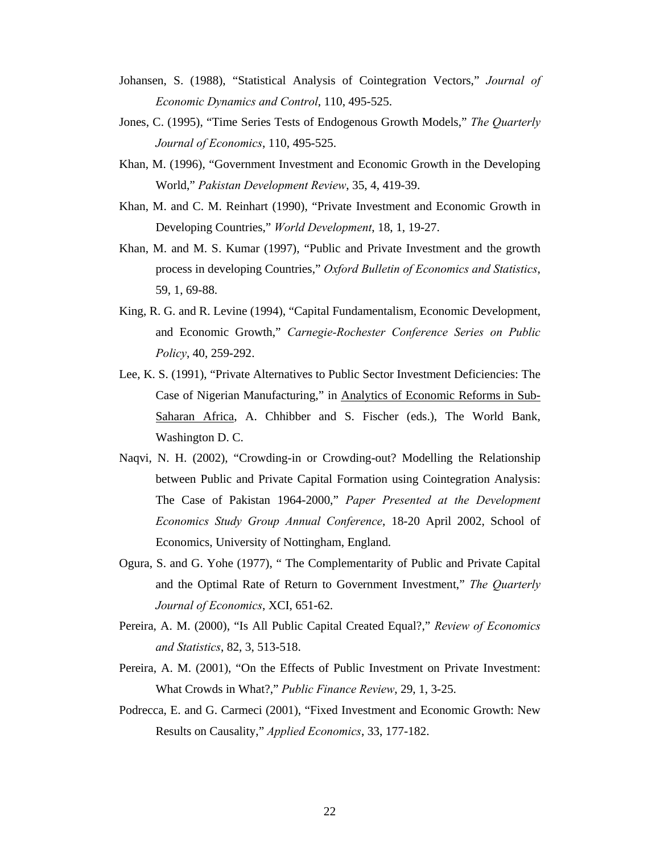- Johansen, S. (1988), "Statistical Analysis of Cointegration Vectors," *Journal of Economic Dynamics and Control*, 110, 495-525.
- Jones, C. (1995), "Time Series Tests of Endogenous Growth Models," *The Quarterly Journal of Economics*, 110, 495-525.
- Khan, M. (1996), "Government Investment and Economic Growth in the Developing World," *Pakistan Development Review*, 35, 4, 419-39.
- Khan, M. and C. M. Reinhart (1990), "Private Investment and Economic Growth in Developing Countries," *World Development*, 18, 1, 19-27.
- Khan, M. and M. S. Kumar (1997), "Public and Private Investment and the growth process in developing Countries," *Oxford Bulletin of Economics and Statistics*, 59, 1, 69-88.
- King, R. G. and R. Levine (1994), "Capital Fundamentalism, Economic Development, and Economic Growth," *Carnegie-Rochester Conference Series on Public Policy*, 40, 259-292.
- Lee, K. S. (1991), "Private Alternatives to Public Sector Investment Deficiencies: The Case of Nigerian Manufacturing," in Analytics of Economic Reforms in Sub-Saharan Africa, A. Chhibber and S. Fischer (eds.), The World Bank, Washington D. C.
- Naqvi, N. H. (2002), "Crowding-in or Crowding-out? Modelling the Relationship between Public and Private Capital Formation using Cointegration Analysis: The Case of Pakistan 1964-2000," *Paper Presented at the Development Economics Study Group Annual Conference*, 18-20 April 2002, School of Economics, University of Nottingham, England.
- Ogura, S. and G. Yohe (1977), " The Complementarity of Public and Private Capital and the Optimal Rate of Return to Government Investment," *The Quarterly Journal of Economics*, XCI, 651-62.
- Pereira, A. M. (2000), "Is All Public Capital Created Equal?," *Review of Economics and Statistics*, 82, 3, 513-518.
- Pereira, A. M. (2001), "On the Effects of Public Investment on Private Investment: What Crowds in What?," *Public Finance Review*, 29, 1, 3-25.
- Podrecca, E. and G. Carmeci (2001), "Fixed Investment and Economic Growth: New Results on Causality," *Applied Economics*, 33, 177-182.